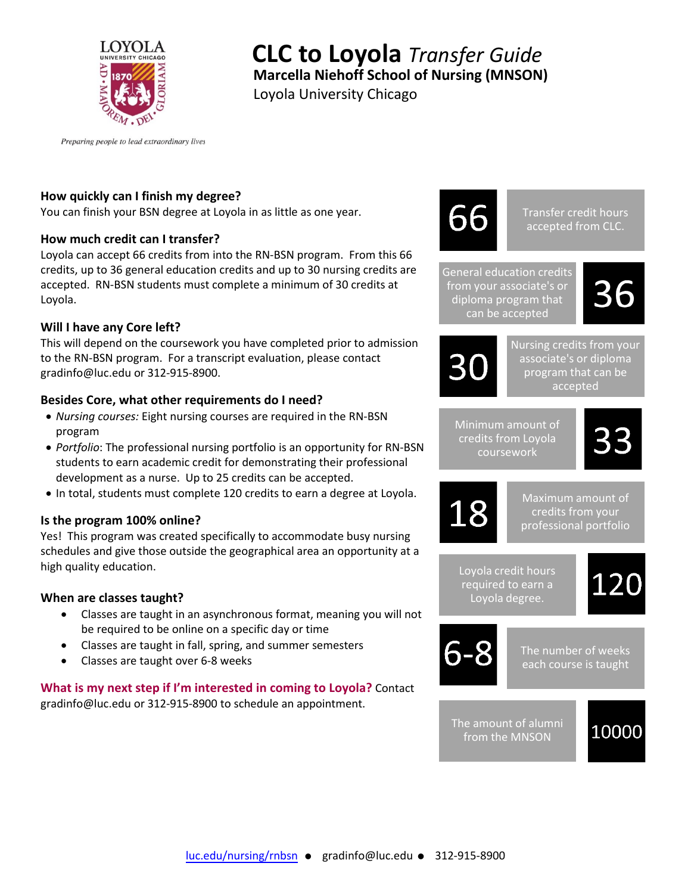

# **CLC to Loyola** *Transfer Guide* **Marcella Niehoff School of Nursing (MNSON)**

Loyola University Chicago

Preparing people to lead extraordinary lives

## **How quickly can I finish my degree?**

You can finish your BSN degree at Loyola in as little as one year.

## **How much credit can I transfer?**

Loyola can accept 66 credits from into the RN-BSN program. From this 66 credits, up to 36 general education credits and up to 30 nursing credits are accepted. RN-BSN students must complete a minimum of 30 credits at Loyola.

## **Will I have any Core left?**

This will depend on the coursework you have completed prior to admission to the RN-BSN program. For a transcript evaluation, please contact gradinfo@luc.edu or 312-915-8900.

## **Besides Core, what other requirements do I need?**

- *Nursing courses:* Eight nursing courses are required in the RN-BSN program
- *Portfolio*: The professional nursing portfolio is an opportunity for RN-BSN students to earn academic credit for demonstrating their professional development as a nurse. Up to 25 credits can be accepted.
- In total, students must complete 120 credits to earn a degree at Loyola.

## **Is the program 100% online?**

Yes! This program was created specifically to accommodate busy nursing schedules and give those outside the geographical area an opportunity at a high quality education.

## **When are classes taught?**

- Classes are taught in an asynchronous format, meaning you will not be required to be online on a specific day or time
- Classes are taught in fall, spring, and summer semesters
- Classes are taught over 6-8 weeks

#### **What is my next step if I'm interested in coming to Loyola?** Contact gradinfo@luc.edu or 312-915-8900 to schedule an appointment.